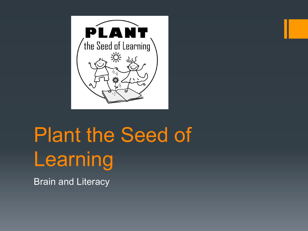

# Plant the Seed of Learning

Brain and Literacy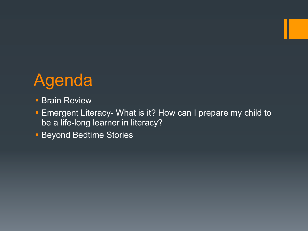

- **Brain Review**
- Emergent Literacy- What is it? How can I prepare my child to be a life-long learner in literacy?
- **Beyond Bedtime Stories**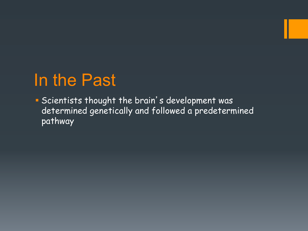#### In the Past

§ Scientists thought the brain's development was determined genetically and followed a predetermined pathway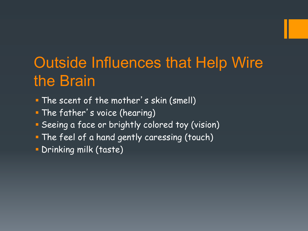#### Outside Influences that Help Wire the Brain

- § The scent of the mother's skin (smell)
- **The father's voice (hearing)**
- **Seeing a face or brightly colored toy (vision)**
- **The feel of a hand gently caressing (touch)**
- § Drinking milk (taste)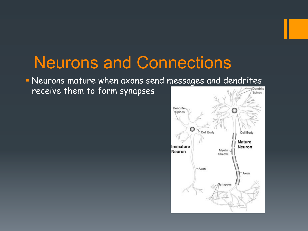#### Neurons and Connections

§ Neurons mature when axons send messages and dendrites

receive them to form synapses

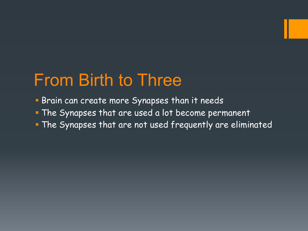#### From Birth to Three

- Brain can create more Synapses than it needs
- § The Synapses that are used a lot become permanent
- § The Synapses that are not used frequently are eliminated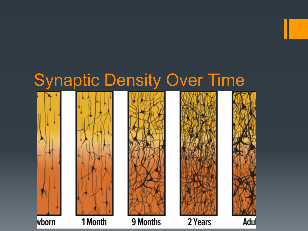

2 Years

Adul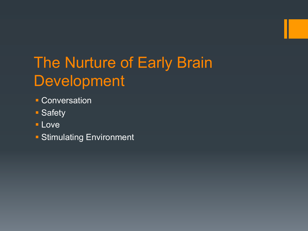#### The Nurture of Early Brain Development

- Conversation
- Safety
- § Love
- Stimulating Environment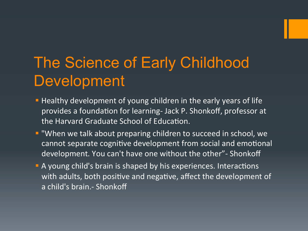#### The Science of Early Childhood Development

- **E** Healthy development of young children in the early years of life provides a foundation for learning- Jack P. Shonkoff, professor at the Harvard Graduate School of Education.
- **E** "When we talk about preparing children to succeed in school, we cannot separate cognitive development from social and emotional development. You can't have one without the other"- Shonkoff
- **A** young child's brain is shaped by his experiences. Interactions with adults, both positive and negative, affect the development of a child's brain.- Shonkoff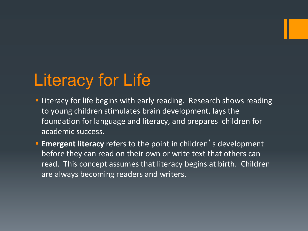## Literacy for Life

- **Example 2** Literacy for life begins with early reading. Research shows reading to young children stimulates brain development, lays the foundation for language and literacy, and prepares children for academic success.
- **Emergent literacy** refers to the point in children's development before they can read on their own or write text that others can read. This concept assumes that literacy begins at birth. Children are always becoming readers and writers.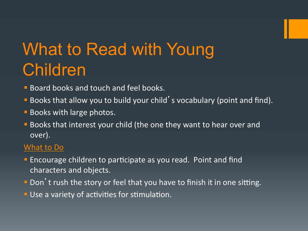## What to Read with Young Children

- Board books and touch and feel books.
- **Books that allow you to build your child's vocabulary (point and find).**
- **Books with large photos.**
- **E** Books that interest your child (the one they want to hear over and over).

#### What to Do

- **Encourage children to participate as you read. Point and find** characters and objects.
- **Don't rush the story or feel that you have to finish it in one sitting.**
- **Use a variety of activities for stimulation.**